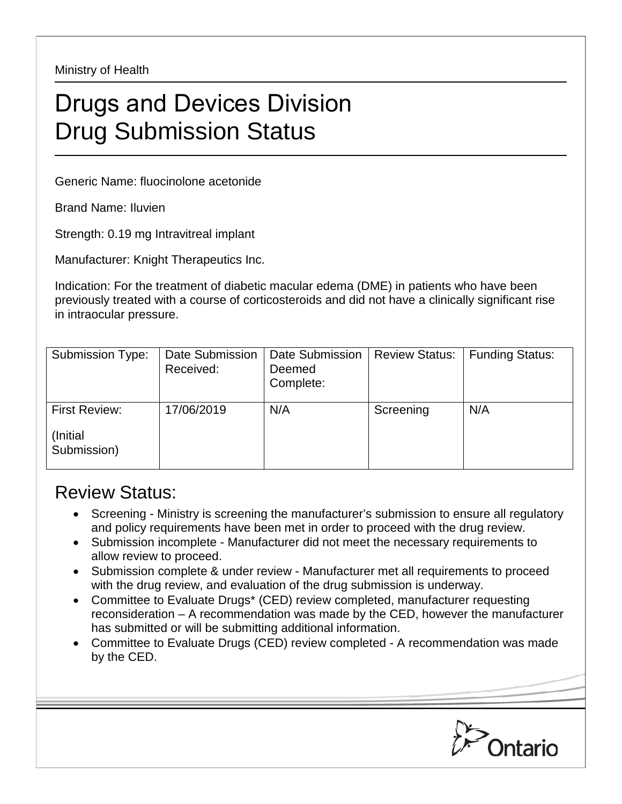Ministry of Health

## Drugs and Devices Division Drug Submission Status

Generic Name: fluocinolone acetonide

Brand Name: Iluvien

Strength: 0.19 mg Intravitreal implant

Manufacturer: Knight Therapeutics Inc.

Indication: For the treatment of diabetic macular edema (DME) in patients who have been previously treated with a course of corticosteroids and did not have a clinically significant rise in intraocular pressure.

| <b>Submission Type:</b> | Date Submission<br>Received: | Date Submission<br>Deemed<br>Complete: | <b>Review Status:</b> | <b>Funding Status:</b> |
|-------------------------|------------------------------|----------------------------------------|-----------------------|------------------------|
| First Review:           | 17/06/2019                   | N/A                                    | Screening             | N/A                    |
| (Initial<br>Submission) |                              |                                        |                       |                        |

## Review Status:

- Screening Ministry is screening the manufacturer's submission to ensure all regulatory and policy requirements have been met in order to proceed with the drug review.
- Submission incomplete Manufacturer did not meet the necessary requirements to allow review to proceed.
- Submission complete & under review Manufacturer met all requirements to proceed with the drug review, and evaluation of the drug submission is underway.
- Committee to Evaluate Drugs\* (CED) review completed, manufacturer requesting reconsideration – A recommendation was made by the CED, however the manufacturer has submitted or will be submitting additional information.
- Committee to Evaluate Drugs (CED) review completed A recommendation was made by the CED.